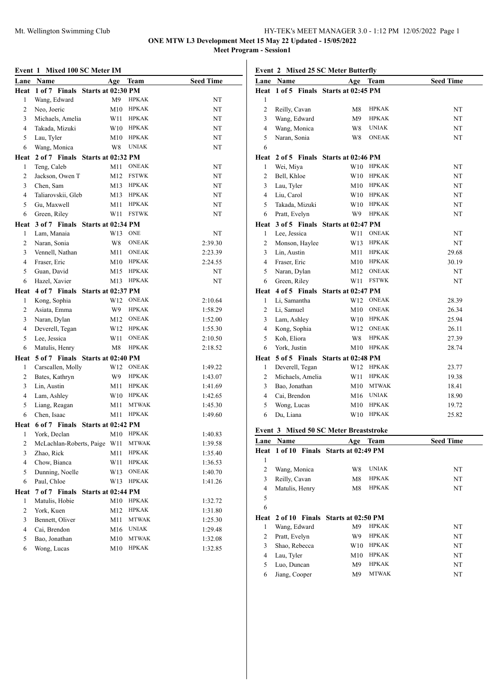### Mt. Wellington Swimming Club HY-TEK's MEET MANAGER 3.0 - 1:12 PM 12/05/2022 Page 1 **ONE MTW L3 Development Meet 15 May 22 Updated - 15/05/2022**

**Meet Program - Session1**

#### **Event 1 Mixed 100 SC Meter IM**

| Lane             | Name                                  | Age                                | Team         | <b>Seed Time</b> |
|------------------|---------------------------------------|------------------------------------|--------------|------------------|
|                  | Heat 1 of 7 Finals                    | Starts at 02:30 PM                 |              |                  |
| 1                | Wang, Edward                          | M <sup>9</sup>                     | <b>HPKAK</b> | NT               |
| 2                | Neo, Joeric                           | M10                                | <b>HPKAK</b> | NT               |
| 3                | Michaels, Amelia                      | W11                                | <b>HPKAK</b> | NT               |
| 4                | Takada, Mizuki                        | W10                                | <b>HPKAK</b> | NT               |
| 5                | Lau, Tyler                            | M10                                | <b>HPKAK</b> | NT               |
| 6                | Wang, Monica                          | W8                                 | <b>UNIAK</b> | NT               |
| Heat             | 2 of 7 Finals                         | Starts at 02:32 PM                 |              |                  |
| 1                | Teng, Caleb                           | M11                                | <b>ONEAK</b> | NT               |
| $\overline{c}$   | Jackson, Owen T                       | M12                                | <b>FSTWK</b> | NT               |
| 3                | Chen, Sam                             | M13                                | <b>HPKAK</b> | NT               |
| 4                | Taliarovskii, Gleb                    | M13                                | <b>HPKAK</b> | NT               |
| 5                | Gu, Maxwell                           | M11                                | <b>HPKAK</b> | NT               |
| 6                | Green, Riley                          | W11                                | <b>FSTWK</b> | NT               |
| Heat             |                                       | 3 of 7 Finals Starts at 02:34 PM   |              |                  |
| 1                | Lam, Manaia                           | W13                                | <b>ONE</b>   | NT               |
| 2                | Naran, Sonia                          | W8                                 | <b>ONEAK</b> | 2:39.30          |
| 3                | Vennell, Nathan                       | M11                                | <b>ONEAK</b> | 2:23.39          |
| 4                | Fraser, Eric                          | M10                                | HPKAK        | 2:24.55          |
| 5                | Guan, David                           | M15                                | <b>HPKAK</b> | NT               |
| 6                | Hazel, Xavier                         | M13                                | <b>HPKAK</b> | NT               |
| Heat             | 4 of 7 Finals Starts at 02:37 PM      |                                    |              |                  |
| 1                | Kong, Sophia                          | W12                                | <b>ONEAK</b> | 2:10.64          |
| $\overline{c}$   | Asiata, Emma                          | W9                                 | <b>HPKAK</b> | 1:58.29          |
| 3                | Naran, Dylan                          | M12                                | <b>ONEAK</b> | 1:52.00          |
| 4                | Deverell, Tegan                       | W12                                | <b>HPKAK</b> | 1:55.30          |
| 5                | Lee, Jessica                          | W11                                | <b>ONEAK</b> | 2:10.50          |
| 6                | Matulis, Henry                        | M8                                 | <b>HPKAK</b> | 2:18.52          |
| Heat             |                                       | 5 of 7 Finals Starts at 02:40 PM   |              |                  |
| 1                | Carscallen, Molly                     | W12                                | <b>ONEAK</b> | 1:49.22          |
| 2                | Bates, Kathryn                        | W9                                 | <b>HPKAK</b> | 1:43.07          |
| 3                | Lin, Austin                           | M11                                | <b>HPKAK</b> | 1:41.69          |
| 4                | Lam, Ashley                           | W10                                | HPKAK        | 1:42.65          |
| 5                | Liang, Reagan                         | M11                                | <b>MTWAK</b> | 1:45.30          |
| 6                | Chen, Isaac                           | M11                                | <b>HPKAK</b> | 1:49.60          |
|                  | Heat 6 of 7 Finals Starts at 02:42 PM |                                    |              |                  |
| 1                | York. Declan                          | M10                                | <b>HPKAK</b> | 1:40.83          |
| $\mathfrak{D}$   |                                       | McLachlan-Roberts, Paige W11 MTWAK |              | 1:39.58          |
| 3                | Zhao, Rick                            | M11                                | HPKAK        | 1:35.40          |
| 4                | Chow, Bianca                          | W11                                | <b>HPKAK</b> | 1:36.53          |
| 5                | Dunning, Noelle                       | W13                                | <b>ONEAK</b> | 1:40.70          |
| 6                | Paul, Chloe                           | W13                                | <b>HPKAK</b> | 1:41.26          |
| Heat             | 7 of 7 Finals                         | Starts at 02:44 PM                 |              |                  |
| 1                | Matulis, Hobie                        | M10                                | <b>HPKAK</b> | 1:32.72          |
| $\overline{c}$   | York, Kuen                            | M12                                | <b>HPKAK</b> | 1:31.80          |
| 3                | Bennett, Oliver                       | M11                                | <b>MTWAK</b> | 1:25.30          |
| $\overline{4}$   | Cai, Brendon                          | M16                                | <b>UNIAK</b> | 1:29.48          |
| 5                | Bao, Jonathan                         | M10                                | <b>MTWAK</b> | 1:32.08          |
| $\boldsymbol{6}$ | Wong, Lucas                           | M10                                | <b>HPKAK</b> | 1:32.85          |

**Event 2 Mixed 25 SC Meter Butterfly**

| Event 2        |                                        | MIXed 25 SC Meter Butterny        |              |                  |
|----------------|----------------------------------------|-----------------------------------|--------------|------------------|
| Lane           | Name                                   | Age                               | Team         | <b>Seed Time</b> |
| Heat           |                                        | 1 of 5 Finals Starts at 02:45 PM  |              |                  |
| 1              |                                        |                                   |              |                  |
| $\overline{c}$ | Reilly, Cavan                          | M8                                | <b>HPKAK</b> | NT               |
| 3              | Wang, Edward                           | M9                                | <b>HPKAK</b> | NT               |
| $\overline{4}$ | Wang, Monica                           | W8                                | <b>UNIAK</b> | NT               |
| 5              | Naran, Sonia                           | W8                                | <b>ONEAK</b> | NT               |
| 6              |                                        |                                   |              |                  |
| Heat           |                                        | 2 of 5 Finals Starts at 02:46 PM  |              |                  |
| 1              | Wei, Miya                              | W10                               | <b>HPKAK</b> | NT               |
| 2              | Bell, Khloe                            | W10                               | <b>HPKAK</b> | NT               |
| 3              | Lau, Tyler                             | M10                               | <b>HPKAK</b> | NT               |
| $\overline{4}$ | Liu, Carol                             | W10                               | <b>HPKAK</b> | NT               |
| 5              | Takada, Mizuki                         | W10                               | <b>HPKAK</b> | NT               |
| 6              | Pratt, Evelyn                          | W9                                | <b>HPKAK</b> | NT               |
|                | Heat 3 of 5 Finals                     | Starts at 02:47 PM                |              |                  |
| 1              | Lee, Jessica                           | W11                               | <b>ONEAK</b> | NT               |
| 2              | Monson, Haylee                         | W13                               | <b>HPKAK</b> | NT               |
| 3              | Lin, Austin                            | M11                               | <b>HPKAK</b> | 29.68            |
| 4              | Fraser, Eric                           |                                   | M10 HPKAK    | 30.19            |
| 5              | Naran, Dylan                           | M12                               | <b>ONEAK</b> | NT               |
| 6              | Green, Riley                           | W11                               | <b>FSTWK</b> | NT               |
|                | Heat 4 of 5 Finals                     | Starts at 02:47 PM                |              |                  |
| 1              | Li, Samantha                           | W12                               | <b>ONEAK</b> | 28.39            |
| 2              | Li, Samuel                             | M10                               | <b>ONEAK</b> | 26.34            |
| 3              | Lam, Ashley                            | W10                               | <b>HPKAK</b> | 25.94            |
| $\overline{4}$ | Kong, Sophia                           | W12                               | <b>ONEAK</b> | 26.11            |
| 5              | Koh, Eliora                            | W8                                | <b>HPKAK</b> | 27.39            |
| 6              | York, Justin                           | M10                               | <b>HPKAK</b> | 28.74            |
| Heat           |                                        | 5 of 5 Finals Starts at 02:48 PM  |              |                  |
| 1              | Deverell, Tegan                        | W12                               | <b>HPKAK</b> | 23.77            |
| $\overline{c}$ | Michaels, Amelia                       | W11                               | <b>HPKAK</b> | 19.38            |
| 3              | Bao, Jonathan                          | M10                               | <b>MTWAK</b> | 18.41            |
| 4              | Cai, Brendon                           | M16                               | <b>UNIAK</b> | 18.90            |
| 5              | Wong, Lucas                            | M10                               | <b>HPKAK</b> | 19.72            |
| 6              | Du, Liana                              | W10                               | <b>HPKAK</b> | 25.82            |
|                |                                        |                                   |              |                  |
|                | Event 3 Mixed 50 SC Meter Breaststroke |                                   |              |                  |
|                | Lane Name                              |                                   | Age Team     | <b>Seed Time</b> |
| Heat           |                                        | 1 of 10 Finals Starts at 02:49 PM |              |                  |
| 1              |                                        |                                   |              |                  |
| $\overline{c}$ | Wang, Monica                           | W8                                | <b>UNIAK</b> | NT               |
| 3              | Reilly, Cavan                          | M8                                | HPKAK        | NT               |
| 4              | Matulis, Henry                         | M8                                | HPKAK        | NT               |
| 5              |                                        |                                   |              |                  |
| 6              |                                        |                                   |              |                  |

# **Heat 2 of 10 Finals Starts at 02:50 PM**

|   | Wang, Edward  | M9  | <b>HPKAK</b> | NT |
|---|---------------|-----|--------------|----|
|   | Pratt, Evelyn | W9  | <b>HPKAK</b> | NT |
|   | Shao, Rebecca | W10 | <b>HPKAK</b> | NT |
|   | Lau, Tyler    | M10 | <b>HPKAK</b> | NT |
|   | Luo, Duncan   | M9  | <b>HPKAK</b> | NT |
| 6 | Jiang, Cooper | M9  | <b>MTWAK</b> | NT |
|   |               |     |              |    |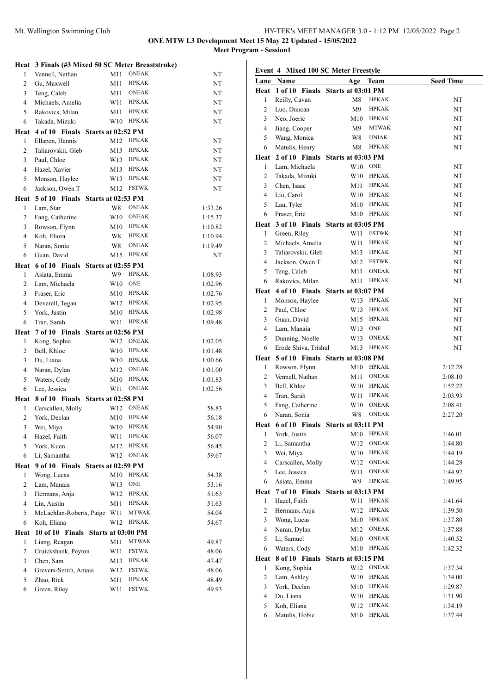**Meet Program - Session1**

|                | Heat 3 Finals (#3 Mixed 50 SC Meter Breaststroke) |                 |              |         |
|----------------|---------------------------------------------------|-----------------|--------------|---------|
| 1              | Vennell, Nathan                                   | M11             | <b>ONEAK</b> | NT      |
| 2              | Gu, Maxwell                                       | M11             | <b>HPKAK</b> | NT      |
| 3              | Teng, Caleb                                       | M11             | ONEAK        | NT      |
| $\overline{4}$ | Michaels, Amelia                                  | W11             | HPKAK        | NT      |
| 5              | Rakovics, Milan                                   | M11             | <b>HPKAK</b> | NT      |
| 6              | Takada, Mizuki                                    | W <sub>10</sub> | <b>HPKAK</b> | NT      |
|                | Heat 4 of 10 Finals Starts at 02:52 PM            |                 |              |         |
| 1              | Ellapen, Hannis                                   | M12             | <b>HPKAK</b> | NT      |
| 2              | Taliarovskii, Gleb                                | M13             | <b>HPKAK</b> | NT      |
| 3              | Paul, Chloe                                       | W13             | <b>HPKAK</b> | NT      |
| $\overline{4}$ | Hazel, Xavier                                     | M13             | HPKAK        | NT      |
| 5              | Monson, Haylee                                    | W13             | HPKAK        | NT      |
| 6              | Jackson, Owen T                                   | M12             | <b>FSTWK</b> | NT      |
| Heat           | 5 of 10 Finals Starts at 02:53 PM                 |                 |              |         |
| 1              | Lam, Star                                         | W8              | <b>ONEAK</b> | 1:33.26 |
| 2              | Fang, Catherine                                   | W10             | <b>ONEAK</b> | 1:15.37 |
| 3              | Rowson, Flynn                                     | M10             | HPKAK        | 1:10.82 |
| $\overline{4}$ | Koh, Eliora                                       | W8              | <b>HPKAK</b> | 1:10.94 |
| 5              | Naran, Sonia                                      | W8              | <b>ONEAK</b> | 1:19.49 |
| 6              | Guan, David                                       | M15             | <b>HPKAK</b> | NT      |
|                | Heat 6 of 10 Finals Starts at 02:55 PM            |                 |              |         |
| 1              | Asiata, Emma                                      | W9              | <b>HPKAK</b> | 1:08.93 |
| 2              | Lam, Michaela                                     | W10             | <b>ONE</b>   | 1:02.96 |
| 3              | Fraser, Eric                                      | M10             | HPKAK        | 1:02.76 |
| $\overline{4}$ | Deverell, Tegan                                   | W12             | <b>HPKAK</b> | 1:02.95 |
| 5              | York, Justin                                      | M10             | <b>HPKAK</b> | 1:02.98 |
| 6              | Tran, Sarah                                       | W11             | <b>HPKAK</b> | 1:09.48 |
| Heat           | 7 of 10 Finals Starts at 02:56 PM                 |                 |              |         |
| 1              | Kong, Sophia                                      | W12             | <b>ONEAK</b> | 1:02.05 |
|                |                                                   |                 |              |         |
| 2              | Bell, Khloe                                       | W <sub>10</sub> | <b>HPKAK</b> | 1:01.48 |
| 3              | Du, Liana                                         | W10             | HPKAK        | 1:00.66 |
| 4              | Naran, Dylan                                      | M12             | ONEAK        | 1:01.00 |
| 5              | Waters, Cody                                      | M10             | <b>HPKAK</b> | 1:01.83 |
| 6              | Lee, Jessica                                      | W11             | <b>ONEAK</b> | 1:02.56 |
|                | Heat 8 of 10 Finals Starts at 02:58 PM            |                 |              |         |
| $\mathbf{1}$   | Carscallen, Molly                                 | W12             | <b>ONEAK</b> | 58.83   |
| 2              | York, Declan                                      | M10             | <b>HPKAK</b> | 56.18   |
| 3              | Wei, Miya                                         |                 | W10 HPKAK    | 54.90   |
| 4              | Hazel, Faith                                      | W11             | <b>HPKAK</b> | 56.07   |
| 5              | York, Kuen                                        | M12             | <b>HPKAK</b> | 56.45   |
| 6              | Li, Samantha                                      | W12             | <b>ONEAK</b> | 59.67   |
| Heat           |                                                   |                 |              |         |
| 1              | 9 of 10 Finals Starts at 02:59 PM<br>Wong, Lucas  | M10             | <b>HPKAK</b> | 54.38   |
| $\mathbf{2}$   | Lam, Manaia                                       | W13             | <b>ONE</b>   | 53.16   |
| 3              | Hermans, Anja                                     | W12             | <b>HPKAK</b> | 51.63   |
| 4              | Lin, Austin                                       | M11             | <b>HPKAK</b> | 51.63   |
| 5              | McLachlan-Roberts, Paige                          | W11             | <b>MTWAK</b> | 54.04   |
| 6              | Koh, Eliana                                       | W12             | <b>HPKAK</b> | 54.67   |
| Heat           | 10 of 10 Finals Starts at 03:00 PM                |                 |              |         |
| 1              | Liang, Reagan                                     | M11             | <b>MTWAK</b> | 49.87   |
| $\mathbf{2}$   | Cruickshank, Peyton                               | W11             | FSTWK        | 48.06   |
| 3              | Chen, Sam                                         | M13             | HPKAK        | 47.47   |
| 4              | Grevers-Smith, Amaia                              | W12             | FSTWK        | 48.06   |
| 5              | Zhao, Rick                                        | M11             | <b>HPKAK</b> | 48.49   |

| Event 4 Mixed 100 SC Meter Freestyle |                                        |                    |               |                  |
|--------------------------------------|----------------------------------------|--------------------|---------------|------------------|
|                                      | Lane Name                              | Age                | Team          | <b>Seed Time</b> |
|                                      | Heat 1 of 10 Finals                    | Starts at 03:01 PM |               |                  |
| 1                                    | Reilly, Cavan                          | M8                 | <b>HPKAK</b>  | NT               |
| 2                                    | Luo, Duncan                            | M9                 | <b>HPKAK</b>  | NT               |
| 3                                    | Neo, Joeric                            | M10                | <b>HPKAK</b>  | NT               |
| $\overline{4}$                       | Jiang, Cooper                          | M9                 | <b>MTWAK</b>  | NT               |
| 5                                    | Wang, Monica                           | W8                 | <b>UNIAK</b>  | NT               |
| 6                                    | Matulis, Henry                         | M8                 | <b>HPKAK</b>  | NT               |
| Heat                                 | 2 of 10 Finals                         | Starts at 03:03 PM |               |                  |
| 1                                    | Lam, Michaela                          | W10                | <b>ONE</b>    | NT               |
| 2                                    | Takada, Mizuki                         | W10                | <b>HPKAK</b>  | NT               |
| 3                                    | Chen, Isaac                            | M11                | <b>HPKAK</b>  | NT               |
| $\overline{4}$                       | Liu, Carol                             |                    | W10 HPKAK     | NT               |
| 5                                    | Lau, Tyler                             | M10                | <b>HPKAK</b>  | NT               |
| 6                                    | Fraser, Eric                           | M10                | <b>HPKAK</b>  | NT               |
|                                      | Heat 3 of 10 Finals Starts at 03:05 PM |                    |               |                  |
| 1                                    | Green, Riley                           | W11                | <b>FSTWK</b>  | NT               |
| 2                                    | Michaels, Amelia                       | W11                | <b>HPKAK</b>  | NT               |
| 3                                    | Taliarovskii, Gleb                     | M13                | <b>HPKAK</b>  | NT               |
| $\overline{4}$                       | Jackson, Owen T                        | M12                | <b>FSTWK</b>  | NT               |
| 5                                    | Teng, Caleb                            | M11                | <b>ONEAK</b>  | NT               |
| 6                                    | Rakovics, Milan                        | M11                | <b>HPKAK</b>  | NT               |
| Heat                                 | 4 of 10 Finals                         | Starts at 03:07 PM |               |                  |
| 1                                    | Monson, Haylee                         |                    | W13 HPKAK     | NT               |
| 2                                    | Paul, Chloe                            | W13                | HPKAK         | NT               |
| 3                                    | Guan, David                            | M15                | HPKAK         | NT               |
| $\overline{4}$                       | Lam, Manaia                            | W13                | <b>ONE</b>    | NT               |
| 5                                    | Dunning, Noelle                        | W13                | <b>ONEAK</b>  | NT               |
| 6                                    | Erode Shiva, Trishul                   | M13                | <b>HPKAK</b>  | NT               |
|                                      | Heat 5 of 10 Finals Starts at 03:08 PM |                    |               |                  |
| 1                                    | Rowson, Flynn                          | M10                | <b>HPKAK</b>  | 2:12.28          |
| 2                                    | Vennell, Nathan                        | M11                | <b>ONEAK</b>  | 2:08.10          |
| 3                                    | Bell, Khloe                            | W10                | <b>HPKAK</b>  | 1:52.22          |
| $\overline{4}$                       | Tran, Sarah                            | W11                | <b>HPKAK</b>  | 2:03.93          |
| 5                                    | Fang, Catherine                        | W10                | <b>ONEAK</b>  | 2:08.41          |
| 6                                    | Naran, Sonia                           | W8                 | <b>ONEAK</b>  | 2:27.20          |
|                                      | Heat 6 of 10 Finals Starts at 03:11 PM |                    |               |                  |
| $\mathbf{I}$                         | York, Justin                           | M10                | ${\rm HPKAK}$ | 1:46.01          |
| $\overline{c}$                       | Li, Samantha                           | W12                | <b>ONEAK</b>  | 1:44.80          |
| 3                                    | Wei, Miya                              | W10                | <b>HPKAK</b>  | 1:44.19          |
| $\overline{4}$                       | Carscallen, Molly                      | W12                | <b>ONEAK</b>  | 1:44.28          |
| 5                                    | Lee, Jessica                           | W11                | <b>ONEAK</b>  | 1:44.92          |
| 6                                    | Asiata, Emma                           | W9                 | <b>HPKAK</b>  | 1:49.95          |
| Heat                                 | 7 of 10 Finals                         | Starts at 03:13 PM |               |                  |
| $\mathbf{1}$                         | Hazel, Faith                           | W11                | <b>HPKAK</b>  | 1:41.64          |
| 2                                    | Hermans, Anja                          | W12                | HPKAK         | 1:39.50          |
| 3                                    | Wong, Lucas                            | M10                | <b>HPKAK</b>  | 1:37.80          |
| 4                                    | Naran, Dylan                           | M12                | ONEAK         | 1:37.88          |
| 5                                    | Li, Samuel                             | M10                | <b>ONEAK</b>  | 1:40.52          |
| 6                                    | Waters, Cody                           | M10                | <b>HPKAK</b>  | 1:42.32          |
| Heat                                 | 8 of 10 Finals                         | Starts at 03:15 PM |               |                  |
| 1                                    | Kong, Sophia                           | W12                | <b>ONEAK</b>  | 1:37.34          |
| $\overline{c}$                       | Lam, Ashley                            | W10                | <b>HPKAK</b>  | 1:34.00          |
| 3                                    | York, Declan                           | M10                | <b>HPKAK</b>  | 1:29.87          |
| $\overline{4}$                       | Du, Liana                              | W10                | <b>HPKAK</b>  | 1:31.90          |
| 5                                    | Koh, Eliana                            | W12                | <b>HPKAK</b>  | 1:34.19          |
| 6                                    | Matulis, Hobie                         | M10                | <b>HPKAK</b>  | 1:37.44          |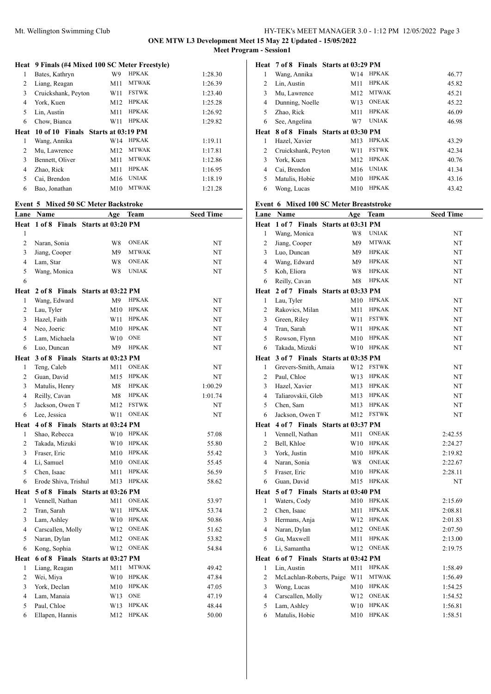**ONE MTW L3 Development Meet 15 May 22 Updated - 15/05/2022 Meet Program - Session1**

|                | Heat 9 Finals (#4 Mixed 100 SC Meter Freestyle) |     |              |         |
|----------------|-------------------------------------------------|-----|--------------|---------|
| 1              | Bates, Kathryn                                  | W9  | <b>HPKAK</b> | 1:28.30 |
| 2              | Liang, Reagan                                   | M11 | <b>MTWAK</b> | 1:26.39 |
| 3              | Cruickshank, Peyton                             | W11 | <b>FSTWK</b> | 1:23.40 |
| 4              | York, Kuen                                      | M12 | <b>HPKAK</b> | 1:25.28 |
| 5              | Lin, Austin                                     | M11 | <b>HPKAK</b> | 1:26.92 |
| 6              | Chow, Bianca                                    | W11 | <b>HPKAK</b> | 1:29.82 |
| Heat           | 10 of 10 Finals Starts at 03:19 PM              |     |              |         |
| 1              | Wang, Annika                                    | W14 | <b>HPKAK</b> | 1:19.11 |
|                |                                                 |     |              |         |
| $\overline{c}$ | Mu, Lawrence                                    | M12 | <b>MTWAK</b> | 1:17.81 |
| 3              | Bennett, Oliver                                 | M11 | <b>MTWAK</b> | 1:12.86 |
| 4              | Zhao, Rick                                      | M11 | <b>HPKAK</b> | 1:16.95 |
| 5              | Cai, Brendon                                    | M16 | <b>UNIAK</b> | 1:18.19 |
| 6              | Bao, Jonathan                                   | M10 | <b>MTWAK</b> | 1:21.28 |

#### **Event 5 Mixed 50 SC Meter Backstroke**

| Lane           | Name                    | Age                | Team         | <b>Seed Time</b> |
|----------------|-------------------------|--------------------|--------------|------------------|
| Heat           | 1 of 8 Finals           | Starts at 03:20 PM |              |                  |
| 1              |                         |                    |              |                  |
| $\overline{c}$ | Naran, Sonia            | W8                 | <b>ONEAK</b> | NT               |
| 3              | Jiang, Cooper           | M <sup>9</sup>     | <b>MTWAK</b> | NT               |
| $\overline{4}$ | Lam, Star               | W8                 | <b>ONEAK</b> | NT               |
| 5              | Wang, Monica            | W8                 | <b>UNIAK</b> | NT               |
| 6              |                         |                    |              |                  |
| Heat           | 2 of 8<br><b>Finals</b> | Starts at 03:22 PM |              |                  |
| 1              | Wang, Edward            | M9                 | <b>HPKAK</b> | NT               |
| $\overline{c}$ | Lau, Tyler              | M10                | <b>HPKAK</b> | NT               |
| 3              | Hazel, Faith            | W11                | <b>HPKAK</b> | NT               |
| $\overline{4}$ | Neo, Joeric             | M10                | <b>HPKAK</b> | NT               |
| 5              | Lam, Michaela           | W10                | <b>ONE</b>   | NT               |
| 6              | Luo, Duncan             | M <sub>9</sub>     | <b>HPKAK</b> | NT               |
| Heat           | 3 of 8 Finals           | Starts at 03:23 PM |              |                  |
| 1              | Teng, Caleb             | M11                | <b>ONEAK</b> | NT               |
| $\overline{c}$ | Guan, David             | M15                | <b>HPKAK</b> | NT               |
| 3              | Matulis, Henry          | M8                 | <b>HPKAK</b> | 1:00.29          |
| $\overline{4}$ | Reilly, Cavan           | M8                 | <b>HPKAK</b> | 1:01.74          |
| 5              | Jackson, Owen T         | M12                | <b>FSTWK</b> | NT               |
| 6              | Lee, Jessica            | W11                | <b>ONEAK</b> | NT               |
| Heat           | 4 of 8 Finals           | Starts at 03:24 PM |              |                  |
| $\mathbf{1}$   | Shao, Rebecca           | W10                | <b>HPKAK</b> | 57.08            |
| $\overline{c}$ | Takada, Mizuki          | W10                | <b>HPKAK</b> | 55.80            |
| 3              | Fraser, Eric            | M10                | <b>HPKAK</b> | 55.42            |
| $\overline{4}$ | Li, Samuel              | M10                | <b>ONEAK</b> | 55.45            |
| 5              | Chen, Isaac             | M11                | <b>HPKAK</b> | 56.59            |
| 6              | Erode Shiva, Trishul    | M13                | <b>HPKAK</b> | 58.62            |
| Heat           | 5 of 8 Finals           | Starts at 03:26 PM |              |                  |
| $\mathbf{1}$   | Vennell, Nathan         | M11                | <b>ONEAK</b> | 53.97            |
| $\overline{c}$ | Tran, Sarah             | W11                | <b>HPKAK</b> | 53.74            |
| 3              | Lam, Ashley             | W10                | <b>HPKAK</b> | 50.86            |
| $\overline{4}$ | Carscallen, Molly       | W12                | <b>ONEAK</b> | 51.62            |
| 5              | Naran, Dylan            | M12                | <b>ONEAK</b> | 53.82            |
| 6              | Kong, Sophia            | W12                | <b>ONEAK</b> | 54.84            |
| Heat           | 6 of 8 Finals           | Starts at 03:27 PM |              |                  |
| 1              | Liang, Reagan           | M11                | <b>MTWAK</b> | 49.42            |
| $\overline{c}$ | Wei, Miya               | W10                | <b>HPKAK</b> | 47.84            |
| 3              | York, Declan            | M10                | <b>HPKAK</b> | 47.05            |
| 4              | Lam, Manaia             | W13                | <b>ONE</b>   | 47.19            |
| 5              | Paul, Chloe             | W13                | <b>HPKAK</b> | 48.44            |
| 6              | Ellapen, Hannis         | M12                | <b>HPKAK</b> | 50.00            |

|      | Heat 7 of 8 Finals Starts at 03:29 PM |     |              |       |
|------|---------------------------------------|-----|--------------|-------|
| 1    | Wang, Annika                          | W14 | <b>HPKAK</b> | 46.77 |
| 2    | Lin, Austin                           | M11 | <b>HPKAK</b> | 45.82 |
| 3    | Mu, Lawrence                          | M12 | <b>MTWAK</b> | 45.21 |
| 4    | Dunning, Noelle                       | W13 | <b>ONEAK</b> | 45.22 |
| 5    | Zhao, Rick                            | M11 | <b>HPKAK</b> | 46.09 |
| 6    | See, Angelina                         | W7  | <b>UNIAK</b> | 46.98 |
| Heat | 8 of 8 Finals Starts at 03:30 PM      |     |              |       |
| 1    | Hazel, Xavier                         | M13 | <b>HPKAK</b> | 43.29 |
| 2    | Cruickshank, Peyton                   | W11 | <b>FSTWK</b> | 42.34 |
| 3    | York, Kuen                            | M12 | <b>HPKAK</b> | 40.76 |
| 4    | Cai, Brendon                          | M16 | <b>UNIAK</b> | 41.34 |
| 5    | Matulis, Hobie                        | M10 | <b>HPKAK</b> | 43.16 |
| 6    | Wong, Lucas                           | M10 | <b>HPKAK</b> | 43.42 |

# **Event 6 Mixed 100 SC Meter Breaststroke**

| Lane           | Name                                  | Age            | Team         | <b>Seed Time</b> |
|----------------|---------------------------------------|----------------|--------------|------------------|
|                | Heat 1 of 7 Finals Starts at 03:31 PM |                |              |                  |
| 1              | Wang, Monica                          | W8             | <b>UNIAK</b> | NT               |
| $\overline{c}$ | Jiang, Cooper                         | M <sup>9</sup> | <b>MTWAK</b> | NT               |
| 3              | Luo, Duncan                           | M9             | <b>HPKAK</b> | NT               |
| $\overline{4}$ | Wang, Edward                          | M9             | <b>HPKAK</b> | NT               |
| 5              | Koh, Eliora                           | W8             | <b>HPKAK</b> | NT               |
| 6              | Reilly, Cavan                         | M8             | <b>HPKAK</b> | NT               |
| Heat           | 2 of 7 Finals Starts at 03:33 PM      |                |              |                  |
| $\mathbf{1}$   | Lau, Tyler                            |                | M10 HPKAK    | NT               |
| $\overline{c}$ | Rakovics, Milan                       | M11            | <b>HPKAK</b> | NT               |
| 3              | Green, Riley                          | W11            | <b>FSTWK</b> | NT               |
| $\overline{4}$ | Tran, Sarah                           | W11            | <b>HPKAK</b> | NT               |
| 5              | Rowson, Flynn                         |                | M10 HPKAK    | NT               |
| 6              | Takada, Mizuki                        | W10            | <b>HPKAK</b> | NT               |
| Heat           | 3 of 7 Finals Starts at 03:35 PM      |                |              |                  |
| $\mathbf{1}$   | Grevers-Smith, Amaia                  | W12            | <b>FSTWK</b> | NT               |
| $\overline{c}$ | Paul, Chloe                           | W13            | <b>HPKAK</b> | NT               |
| 3              | Hazel, Xavier                         | M13            | <b>HPKAK</b> | NT               |
| $\overline{4}$ | Taliarovskii, Gleb                    | M13            | <b>HPKAK</b> | NT               |
| 5              | Chen, Sam                             | M13            | <b>HPKAK</b> | NT               |
| 6              | Jackson, Owen T                       | M12            | <b>FSTWK</b> | NT               |
| Heat           | 4 of 7 Finals Starts at 03:37 PM      |                |              |                  |
| $\mathbf{1}$   | Vennell, Nathan                       | M11            | <b>ONEAK</b> | 2:42.55          |
| $\overline{c}$ | Bell, Khloe                           | W10            | <b>HPKAK</b> | 2:24.27          |
| 3              | York, Justin                          | M10            | <b>HPKAK</b> | 2:19.82          |
| $\overline{4}$ | Naran, Sonia                          | W8             | <b>ONEAK</b> | 2:22.67          |
| 5              | Fraser, Eric                          | M10            | <b>HPKAK</b> | 2:28.11          |
| 6              | Guan, David                           | M15            | <b>HPKAK</b> | NT               |
| Heat           | 5 of 7 Finals Starts at 03:40 PM      |                |              |                  |
| $\mathbf{1}$   | Waters, Cody                          | M10            | <b>HPKAK</b> | 2:15.69          |
| 2              | Chen, Isaac                           | M11            | <b>HPKAK</b> | 2:08.81          |
| 3              | Hermans, Anja                         | W12            | <b>HPKAK</b> | 2:01.83          |
| $\overline{4}$ | Naran, Dylan                          | M12            | <b>ONEAK</b> | 2:07.50          |
| 5              | Gu, Maxwell                           | M11            | <b>HPKAK</b> | 2:13.00          |
| 6              | Li, Samantha                          | W12            | <b>ONEAK</b> | 2:19.75          |
| Heat           | 6 of 7 Finals Starts at 03:42 PM      |                |              |                  |
| $\mathbf{1}$   | Lin, Austin                           | M11            | <b>HPKAK</b> | 1:58.49          |
| 2              | McLachlan-Roberts, Paige W11          |                | <b>MTWAK</b> | 1:56.49          |
| 3              | Wong, Lucas                           | M10            | <b>HPKAK</b> | 1:54.25          |
| $\overline{4}$ | Carscallen, Molly                     | W12            | <b>ONEAK</b> | 1:54.52          |
| 5              | Lam, Ashley                           | W10            | <b>HPKAK</b> | 1:56.81          |
| 6              | Matulis, Hobie                        | M10            | <b>HPKAK</b> | 1:58.51          |